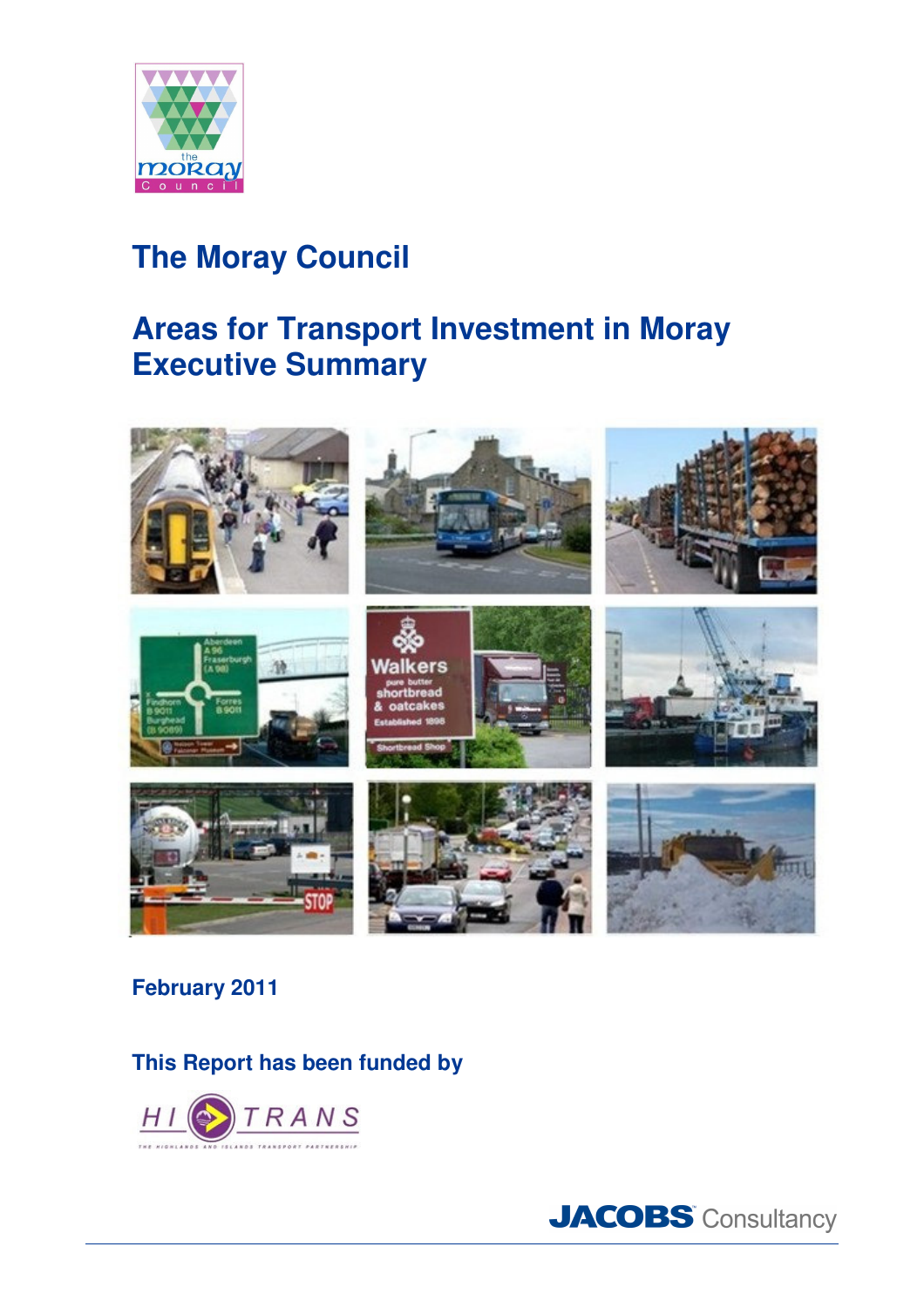

# **The Moray Council**

## **Areas for Transport Investment in Moray Executive Summary**



### **February 2011**

**This Report has been funded by**



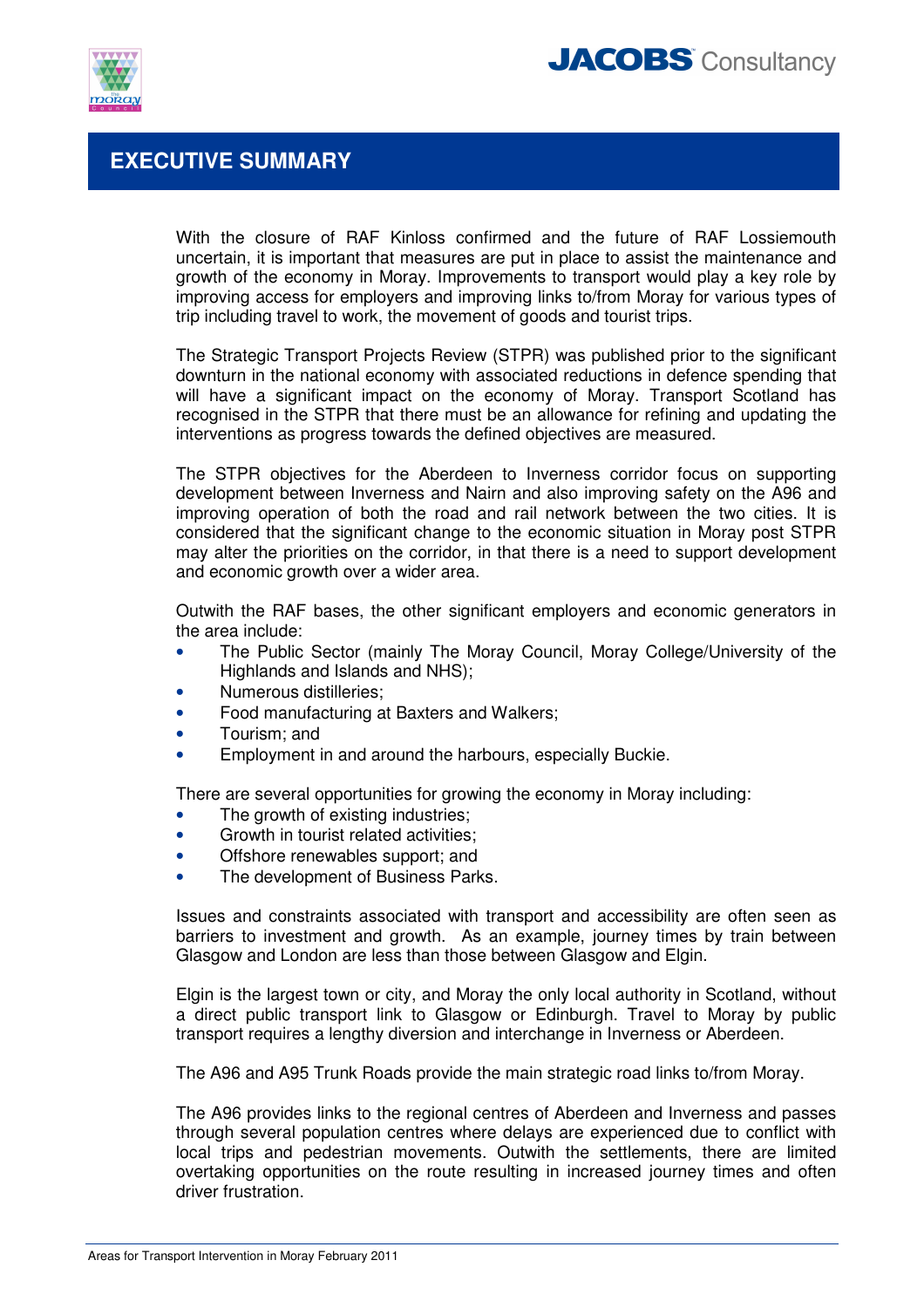



### **EXECUTIVE SUMMARY**

With the closure of RAF Kinloss confirmed and the future of RAF Lossiemouth uncertain, it is important that measures are put in place to assist the maintenance and growth of the economy in Moray. Improvements to transport would play a key role by improving access for employers and improving links to/from Moray for various types of trip including travel to work, the movement of goods and tourist trips.

The Strategic Transport Projects Review (STPR) was published prior to the significant downturn in the national economy with associated reductions in defence spending that will have a significant impact on the economy of Moray. Transport Scotland has recognised in the STPR that there must be an allowance for refining and updating the interventions as progress towards the defined objectives are measured.

The STPR objectives for the Aberdeen to Inverness corridor focus on supporting development between Inverness and Nairn and also improving safety on the A96 and improving operation of both the road and rail network between the two cities. It is considered that the significant change to the economic situation in Moray post STPR may alter the priorities on the corridor, in that there is a need to support development and economic growth over a wider area.

Outwith the RAF bases, the other significant employers and economic generators in the area include:

- The Public Sector (mainly The Moray Council, Moray College/University of the Highlands and Islands and NHS);
- Numerous distilleries;
- Food manufacturing at Baxters and Walkers;
- Tourism; and
- Employment in and around the harbours, especially Buckie.

There are several opportunities for growing the economy in Moray including:

- The growth of existing industries;
- Growth in tourist related activities:
- Offshore renewables support; and
- The development of Business Parks.

Issues and constraints associated with transport and accessibility are often seen as barriers to investment and growth. As an example, journey times by train between Glasgow and London are less than those between Glasgow and Elgin.

Elgin is the largest town or city, and Moray the only local authority in Scotland, without a direct public transport link to Glasgow or Edinburgh. Travel to Moray by public transport requires a lengthy diversion and interchange in Inverness or Aberdeen.

The A96 and A95 Trunk Roads provide the main strategic road links to/from Moray.

The A96 provides links to the regional centres of Aberdeen and Inverness and passes through several population centres where delays are experienced due to conflict with local trips and pedestrian movements. Outwith the settlements, there are limited overtaking opportunities on the route resulting in increased journey times and often driver frustration.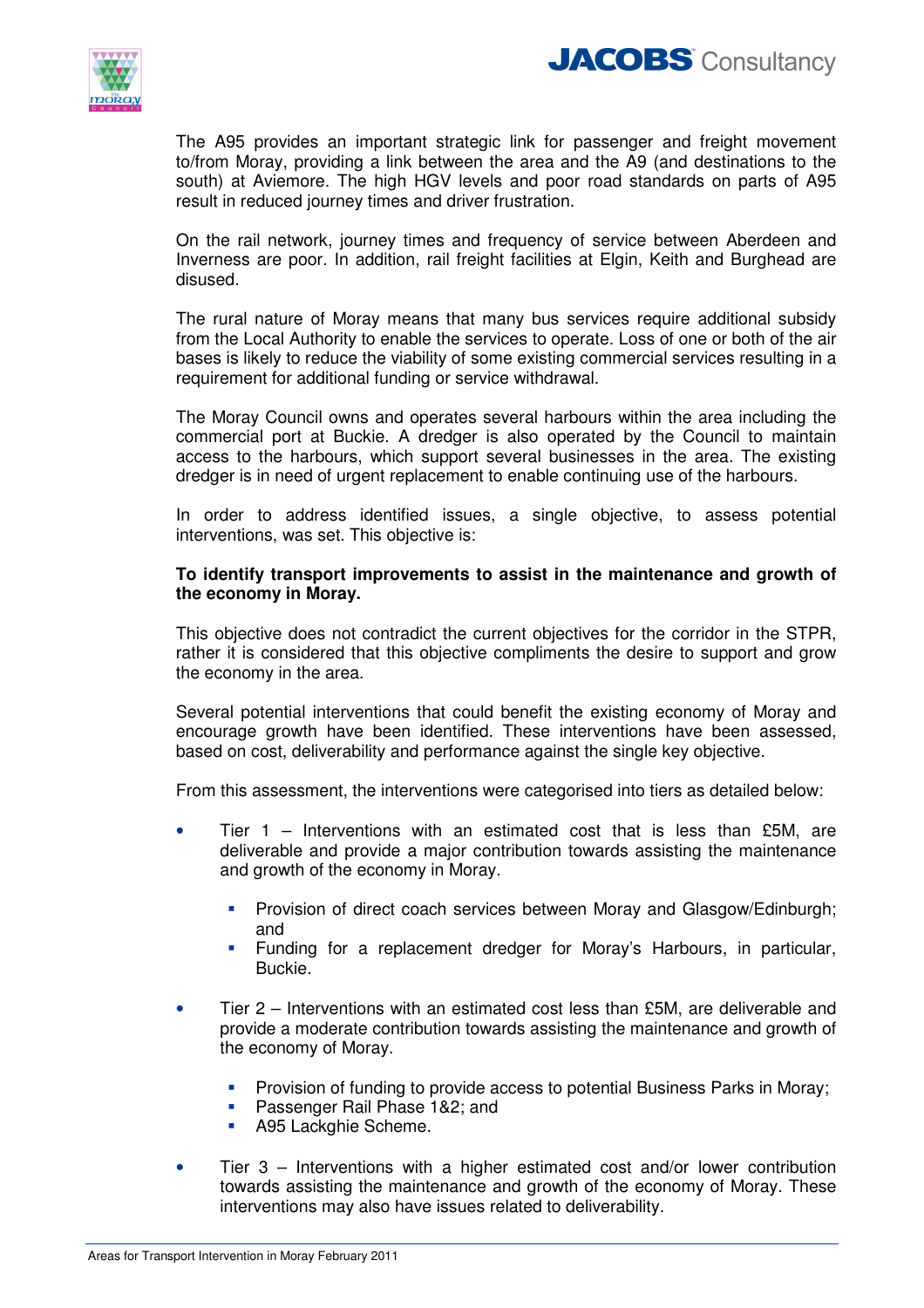



The A95 provides an important strategic link for passenger and freight movement to/from Moray, providing a link between the area and the A9 (and destinations to the south) at Aviemore. The high HGV levels and poor road standards on parts of A95 result in reduced journey times and driver frustration.

On the rail network, journey times and frequency of service between Aberdeen and Inverness are poor. In addition, rail freight facilities at Elgin, Keith and Burghead are disused.

The rural nature of Moray means that many bus services require additional subsidy from the Local Authority to enable the services to operate. Loss of one or both of the air bases is likely to reduce the viability of some existing commercial services resulting in a requirement for additional funding or service withdrawal.

The Moray Council owns and operates several harbours within the area including the commercial port at Buckie. A dredger is also operated by the Council to maintain access to the harbours, which support several businesses in the area. The existing dredger is in need of urgent replacement to enable continuing use of the harbours.

In order to address identified issues, a single objective, to assess potential interventions, was set. This objective is:

#### **To identify transport improvements to assist in the maintenance and growth of the economy in Moray.**

This objective does not contradict the current objectives for the corridor in the STPR, rather it is considered that this objective compliments the desire to support and grow the economy in the area.

Several potential interventions that could benefit the existing economy of Moray and encourage growth have been identified. These interventions have been assessed, based on cost, deliverability and performance against the single key objective.

From this assessment, the interventions were categorised into tiers as detailed below:

- Tier  $1$  Interventions with an estimated cost that is less than £5M, are deliverable and provide a major contribution towards assisting the maintenance and growth of the economy in Moray.
	- **Provision of direct coach services between Moray and Glasgow/Edinburgh;** and
	- Funding for a replacement dredger for Moray's Harbours, in particular, Buckie.
- Tier 2 Interventions with an estimated cost less than £5M, are deliverable and provide a moderate contribution towards assisting the maintenance and growth of the economy of Moray.
	- **Provision of funding to provide access to potential Business Parks in Moray;**
	- **Passenger Rail Phase 1&2; and**
	- **A95 Lackghie Scheme.**
- Tier 3 Interventions with a higher estimated cost and/or lower contribution towards assisting the maintenance and growth of the economy of Moray. These interventions may also have issues related to deliverability.